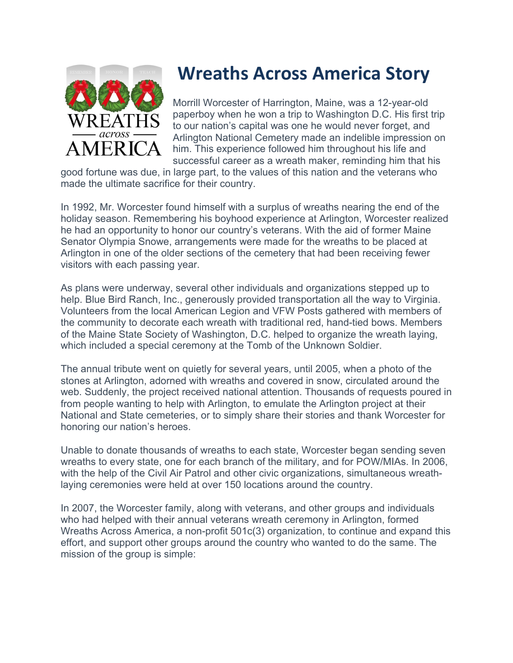

## **Wreaths Across America Story**

Morrill Worcester of Harrington, Maine, was a 12-year-old paperboy when he won a trip to Washington D.C. His first trip to our nation's capital was one he would never forget, and Arlington National Cemetery made an indelible impression on him. This experience followed him throughout his life and successful career as a wreath maker, reminding him that his

good fortune was due, in large part, to the values of this nation and the veterans who made the ultimate sacrifice for their country.

In 1992, Mr. Worcester found himself with a surplus of wreaths nearing the end of the holiday season. Remembering his boyhood experience at Arlington, Worcester realized he had an opportunity to honor our country's veterans. With the aid of former Maine Senator Olympia Snowe, arrangements were made for the wreaths to be placed at Arlington in one of the older sections of the cemetery that had been receiving fewer visitors with each passing year.

As plans were underway, several other individuals and organizations stepped up to help. Blue Bird Ranch, Inc., generously provided transportation all the way to Virginia. Volunteers from the local American Legion and VFW Posts gathered with members of the community to decorate each wreath with traditional red, hand-tied bows. Members of the Maine State Society of Washington, D.C. helped to organize the wreath laying, which included a special ceremony at the Tomb of the Unknown Soldier.

The annual tribute went on quietly for several years, until 2005, when a photo of the stones at Arlington, adorned with wreaths and covered in snow, circulated around the web. Suddenly, the project received national attention. Thousands of requests poured in from people wanting to help with Arlington, to emulate the Arlington project at their National and State cemeteries, or to simply share their stories and thank Worcester for honoring our nation's heroes.

Unable to donate thousands of wreaths to each state, Worcester began sending seven wreaths to every state, one for each branch of the military, and for POW/MIAs. In 2006, with the help of the Civil Air Patrol and other civic organizations, simultaneous wreathlaying ceremonies were held at over 150 locations around the country.

In 2007, the Worcester family, along with veterans, and other groups and individuals who had helped with their annual veterans wreath ceremony in Arlington, formed Wreaths Across America, a non-profit 501c(3) organization, to continue and expand this effort, and support other groups around the country who wanted to do the same. The mission of the group is simple: